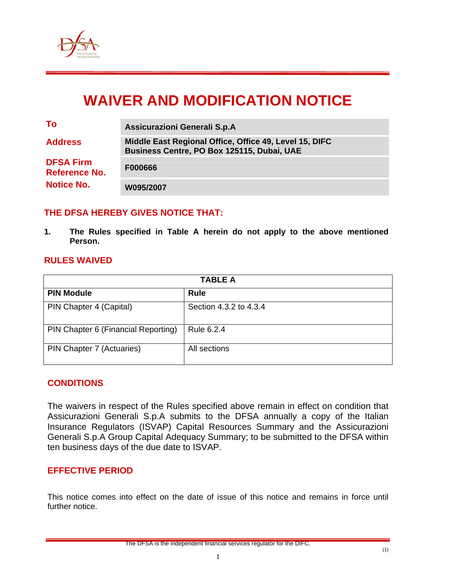

# **WAIVER AND MODIFICATION NOTICE**

| a sa kacamatan ing Kabupatèn Kabupatèn Ing | ٠            |
|--------------------------------------------|--------------|
|                                            | I<br>×<br>۰. |

**To Assicurazioni Generali S.p.A** 

**Address Middle East Regional Office, Office 49, Level 15, DIFC Business Centre, PO Box 125115, Dubai, UAE DFSA Firm Reference No. F000666** 

**Notice No. W095/2007** 

## **THE DFSA HEREBY GIVES NOTICE THAT:**

**1. The Rules specified in Table A herein do not apply to the above mentioned Person.** 

### **RULES WAIVED**

| <b>TABLE A</b>                      |                        |  |  |
|-------------------------------------|------------------------|--|--|
| <b>PIN Module</b>                   | Rule                   |  |  |
| PIN Chapter 4 (Capital)             | Section 4.3.2 to 4.3.4 |  |  |
| PIN Chapter 6 (Financial Reporting) | Rule 6.2.4             |  |  |
| PIN Chapter 7 (Actuaries)           | All sections           |  |  |

### **CONDITIONS**

The waivers in respect of the Rules specified above remain in effect on condition that Assicurazioni Generali S.p.A submits to the DFSA annually a copy of the Italian Insurance Regulators (ISVAP) Capital Resources Summary and the Assicurazioni Generali S.p.A Group Capital Adequacy Summary; to be submitted to the DFSA within ten business days of the due date to ISVAP.

### **EFFECTIVE PERIOD**

This notice comes into effect on the date of issue of this notice and remains in force until further notice.